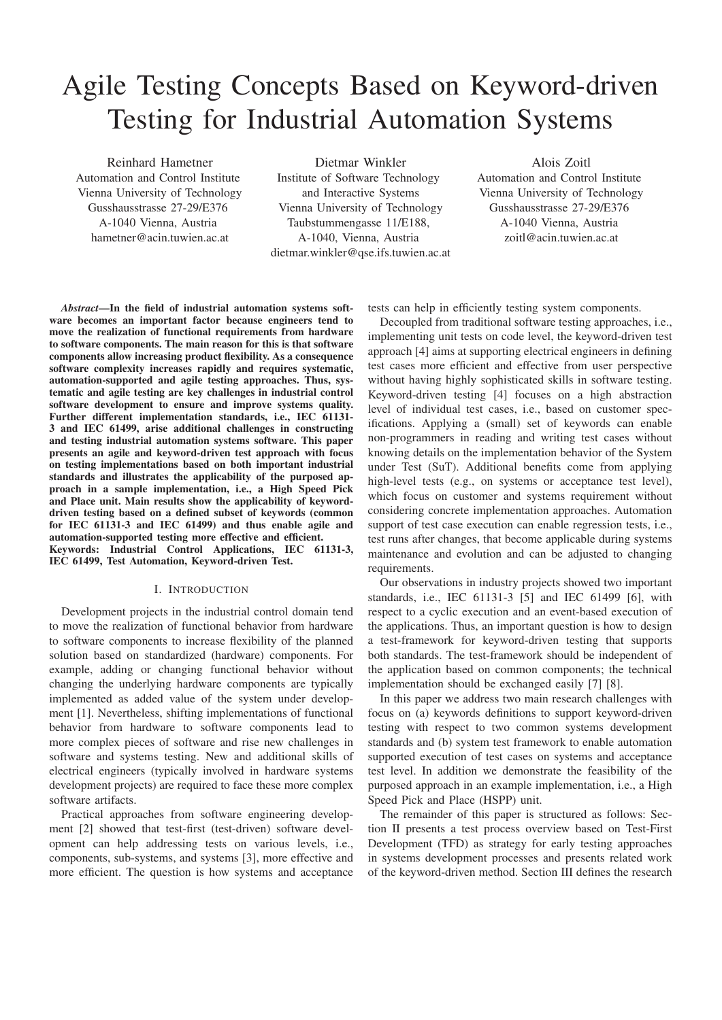# Agile Testing Concepts Based on Keyword-driven Testing for Industrial Automation Systems

Reinhard Hametner Automation and Control Institute Vienna University of Technology Gusshausstrasse 27-29/E376 A-1040 Vienna, Austria hametner@acin.tuwien.ac.at

Dietmar Winkler

Institute of Software Technology and Interactive Systems Vienna University of Technology Taubstummengasse 11/E188, A-1040, Vienna, Austria dietmar.winkler@qse.ifs.tuwien.ac.at

Alois Zoitl Automation and Control Institute Vienna University of Technology Gusshausstrasse 27-29/E376 A-1040 Vienna, Austria zoitl@acin.tuwien.ac.at

*Abstract*—In the field of industrial automation systems software becomes an important factor because engineers tend to move the realization of functional requirements from hardware to software components. The main reason for this is that software components allow increasing product flexibility. As a consequence software complexity increases rapidly and requires systematic, automation-supported and agile testing approaches. Thus, systematic and agile testing are key challenges in industrial control software development to ensure and improve systems quality. Further different implementation standards, i.e., IEC 61131- 3 and IEC 61499, arise additional challenges in constructing and testing industrial automation systems software. This paper presents an agile and keyword-driven test approach with focus on testing implementations based on both important industrial standards and illustrates the applicability of the purposed approach in a sample implementation, i.e., a High Speed Pick and Place unit. Main results show the applicability of keyworddriven testing based on a defined subset of keywords (common for IEC 61131-3 and IEC 61499) and thus enable agile and automation-supported testing more effective and efficient. Keywords: Industrial Control Applications, IEC 61131-3, IEC 61499, Test Automation, Keyword-driven Test.

## I. INTRODUCTION

Development projects in the industrial control domain tend to move the realization of functional behavior from hardware to software components to increase flexibility of the planned solution based on standardized (hardware) components. For example, adding or changing functional behavior without changing the underlying hardware components are typically implemented as added value of the system under development [1]. Nevertheless, shifting implementations of functional behavior from hardware to software components lead to more complex pieces of software and rise new challenges in software and systems testing. New and additional skills of electrical engineers (typically involved in hardware systems development projects) are required to face these more complex software artifacts.

Practical approaches from software engineering development [2] showed that test-first (test-driven) software development can help addressing tests on various levels, i.e., components, sub-systems, and systems [3], more effective and more efficient. The question is how systems and acceptance

tests can help in efficiently testing system components.

Decoupled from traditional software testing approaches, i.e., implementing unit tests on code level, the keyword-driven test approach [4] aims at supporting electrical engineers in defining test cases more efficient and effective from user perspective without having highly sophisticated skills in software testing. Keyword-driven testing [4] focuses on a high abstraction level of individual test cases, i.e., based on customer specifications. Applying a (small) set of keywords can enable non-programmers in reading and writing test cases without knowing details on the implementation behavior of the System under Test (SuT). Additional benefits come from applying high-level tests (e.g., on systems or acceptance test level), which focus on customer and systems requirement without considering concrete implementation approaches. Automation support of test case execution can enable regression tests, i.e., test runs after changes, that become applicable during systems maintenance and evolution and can be adjusted to changing requirements.

Our observations in industry projects showed two important standards, i.e., IEC 61131-3 [5] and IEC 61499 [6], with respect to a cyclic execution and an event-based execution of the applications. Thus, an important question is how to design a test-framework for keyword-driven testing that supports both standards. The test-framework should be independent of the application based on common components; the technical implementation should be exchanged easily [7] [8].

In this paper we address two main research challenges with focus on (a) keywords definitions to support keyword-driven testing with respect to two common systems development standards and (b) system test framework to enable automation supported execution of test cases on systems and acceptance test level. In addition we demonstrate the feasibility of the purposed approach in an example implementation, i.e., a High Speed Pick and Place (HSPP) unit.

The remainder of this paper is structured as follows: Section II presents a test process overview based on Test-First Development (TFD) as strategy for early testing approaches in systems development processes and presents related work of the keyword-driven method. Section III defines the research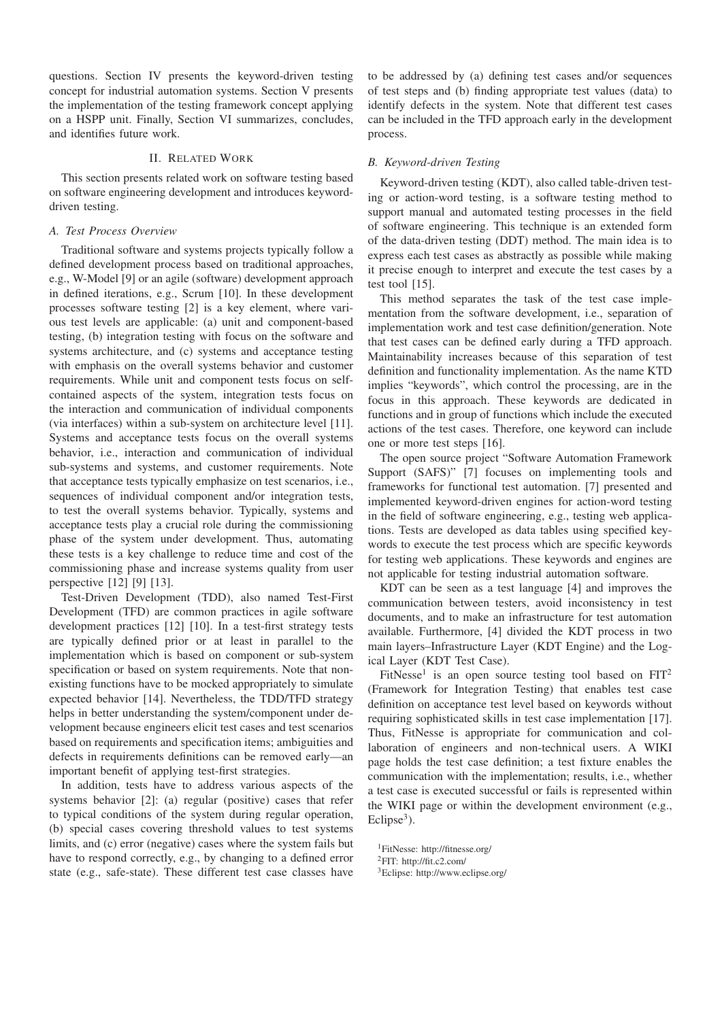questions. Section IV presents the keyword-driven testing concept for industrial automation systems. Section V presents the implementation of the testing framework concept applying on a HSPP unit. Finally, Section VI summarizes, concludes, and identifies future work.

# II. RELATED WORK

This section presents related work on software testing based on software engineering development and introduces keyworddriven testing.

## *A. Test Process Overview*

Traditional software and systems projects typically follow a defined development process based on traditional approaches, e.g., W-Model [9] or an agile (software) development approach in defined iterations, e.g., Scrum [10]. In these development processes software testing [2] is a key element, where various test levels are applicable: (a) unit and component-based testing, (b) integration testing with focus on the software and systems architecture, and (c) systems and acceptance testing with emphasis on the overall systems behavior and customer requirements. While unit and component tests focus on selfcontained aspects of the system, integration tests focus on the interaction and communication of individual components (via interfaces) within a sub-system on architecture level [11]. Systems and acceptance tests focus on the overall systems behavior, i.e., interaction and communication of individual sub-systems and systems, and customer requirements. Note that acceptance tests typically emphasize on test scenarios, i.e., sequences of individual component and/or integration tests, to test the overall systems behavior. Typically, systems and acceptance tests play a crucial role during the commissioning phase of the system under development. Thus, automating these tests is a key challenge to reduce time and cost of the commissioning phase and increase systems quality from user perspective [12] [9] [13].

Test-Driven Development (TDD), also named Test-First Development (TFD) are common practices in agile software development practices [12] [10]. In a test-first strategy tests are typically defined prior or at least in parallel to the implementation which is based on component or sub-system specification or based on system requirements. Note that nonexisting functions have to be mocked appropriately to simulate expected behavior [14]. Nevertheless, the TDD/TFD strategy helps in better understanding the system/component under development because engineers elicit test cases and test scenarios based on requirements and specification items; ambiguities and defects in requirements definitions can be removed early—an important benefit of applying test-first strategies.

In addition, tests have to address various aspects of the systems behavior [2]: (a) regular (positive) cases that refer to typical conditions of the system during regular operation, (b) special cases covering threshold values to test systems limits, and (c) error (negative) cases where the system fails but have to respond correctly, e.g., by changing to a defined error state (e.g., safe-state). These different test case classes have

to be addressed by (a) defining test cases and/or sequences of test steps and (b) finding appropriate test values (data) to identify defects in the system. Note that different test cases can be included in the TFD approach early in the development process.

#### *B. Keyword-driven Testing*

Keyword-driven testing (KDT), also called table-driven testing or action-word testing, is a software testing method to support manual and automated testing processes in the field of software engineering. This technique is an extended form of the data-driven testing (DDT) method. The main idea is to express each test cases as abstractly as possible while making it precise enough to interpret and execute the test cases by a test tool [15].

This method separates the task of the test case implementation from the software development, i.e., separation of implementation work and test case definition/generation. Note that test cases can be defined early during a TFD approach. Maintainability increases because of this separation of test definition and functionality implementation. As the name KTD implies "keywords", which control the processing, are in the focus in this approach. These keywords are dedicated in functions and in group of functions which include the executed actions of the test cases. Therefore, one keyword can include one or more test steps [16].

The open source project "Software Automation Framework Support (SAFS)" [7] focuses on implementing tools and frameworks for functional test automation. [7] presented and implemented keyword-driven engines for action-word testing in the field of software engineering, e.g., testing web applications. Tests are developed as data tables using specified keywords to execute the test process which are specific keywords for testing web applications. These keywords and engines are not applicable for testing industrial automation software.

KDT can be seen as a test language [4] and improves the communication between testers, avoid inconsistency in test documents, and to make an infrastructure for test automation available. Furthermore, [4] divided the KDT process in two main layers–Infrastructure Layer (KDT Engine) and the Logical Layer (KDT Test Case).

FitNesse<sup>1</sup> is an open source testing tool based on  $FIT<sup>2</sup>$ (Framework for Integration Testing) that enables test case definition on acceptance test level based on keywords without requiring sophisticated skills in test case implementation [17]. Thus, FitNesse is appropriate for communication and collaboration of engineers and non-technical users. A WIKI page holds the test case definition; a test fixture enables the communication with the implementation; results, i.e., whether a test case is executed successful or fails is represented within the WIKI page or within the development environment (e.g., Eclipse<sup>3</sup>).

1FitNesse: http://fitnesse.org/

3Eclipse: http://www.eclipse.org/

<sup>2</sup>FIT: http://fit.c2.com/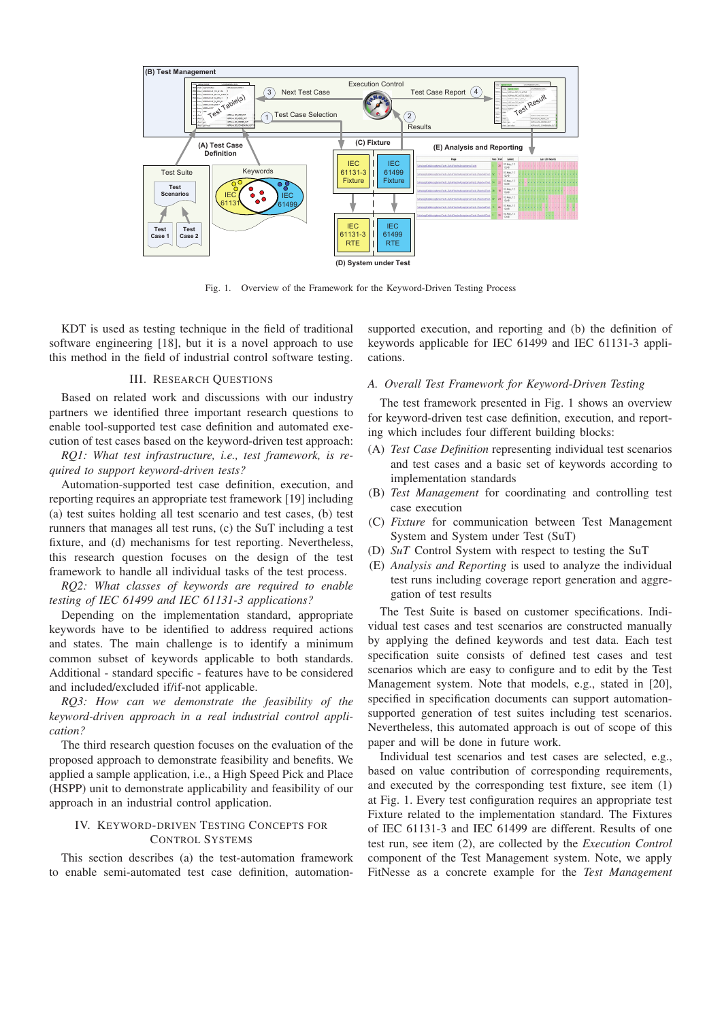

Fig. 1. Overview of the Framework for the Keyword-Driven Testing Process

KDT is used as testing technique in the field of traditional software engineering [18], but it is a novel approach to use this method in the field of industrial control software testing.

# III. RESEARCH QUESTIONS

Based on related work and discussions with our industry partners we identified three important research questions to enable tool-supported test case definition and automated execution of test cases based on the keyword-driven test approach:

*RQ1: What test infrastructure, i.e., test framework, is required to support keyword-driven tests?*

Automation-supported test case definition, execution, and reporting requires an appropriate test framework [19] including (a) test suites holding all test scenario and test cases, (b) test runners that manages all test runs, (c) the SuT including a test fixture, and (d) mechanisms for test reporting. Nevertheless, this research question focuses on the design of the test framework to handle all individual tasks of the test process.

*RQ2: What classes of keywords are required to enable testing of IEC 61499 and IEC 61131-3 applications?*

Depending on the implementation standard, appropriate keywords have to be identified to address required actions and states. The main challenge is to identify a minimum common subset of keywords applicable to both standards. Additional - standard specific - features have to be considered and included/excluded if/if-not applicable.

*RQ3: How can we demonstrate the feasibility of the keyword-driven approach in a real industrial control application?*

The third research question focuses on the evaluation of the proposed approach to demonstrate feasibility and benefits. We applied a sample application, i.e., a High Speed Pick and Place (HSPP) unit to demonstrate applicability and feasibility of our approach in an industrial control application.

## IV. KEYWORD-DRIVEN TESTING CONCEPTS FOR CONTROL SYSTEMS

This section describes (a) the test-automation framework to enable semi-automated test case definition, automationsupported execution, and reporting and (b) the definition of keywords applicable for IEC 61499 and IEC 61131-3 applications.

# *A. Overall Test Framework for Keyword-Driven Testing*

The test framework presented in Fig. 1 shows an overview for keyword-driven test case definition, execution, and reporting which includes four different building blocks:

- (A) *Test Case Definition* representing individual test scenarios and test cases and a basic set of keywords according to implementation standards
- (B) *Test Management* for coordinating and controlling test case execution
- (C) *Fixture* for communication between Test Management System and System under Test (SuT)
- (D) *SuT* Control System with respect to testing the SuT
- (E) *Analysis and Reporting* is used to analyze the individual test runs including coverage report generation and aggregation of test results

The Test Suite is based on customer specifications. Individual test cases and test scenarios are constructed manually by applying the defined keywords and test data. Each test specification suite consists of defined test cases and test scenarios which are easy to configure and to edit by the Test Management system. Note that models, e.g., stated in [20], specified in specification documents can support automationsupported generation of test suites including test scenarios. Nevertheless, this automated approach is out of scope of this paper and will be done in future work.

Individual test scenarios and test cases are selected, e.g., based on value contribution of corresponding requirements, and executed by the corresponding test fixture, see item (1) at Fig. 1. Every test configuration requires an appropriate test Fixture related to the implementation standard. The Fixtures of IEC 61131-3 and IEC 61499 are different. Results of one test run, see item (2), are collected by the *Execution Control* component of the Test Management system. Note, we apply FitNesse as a concrete example for the *Test Management*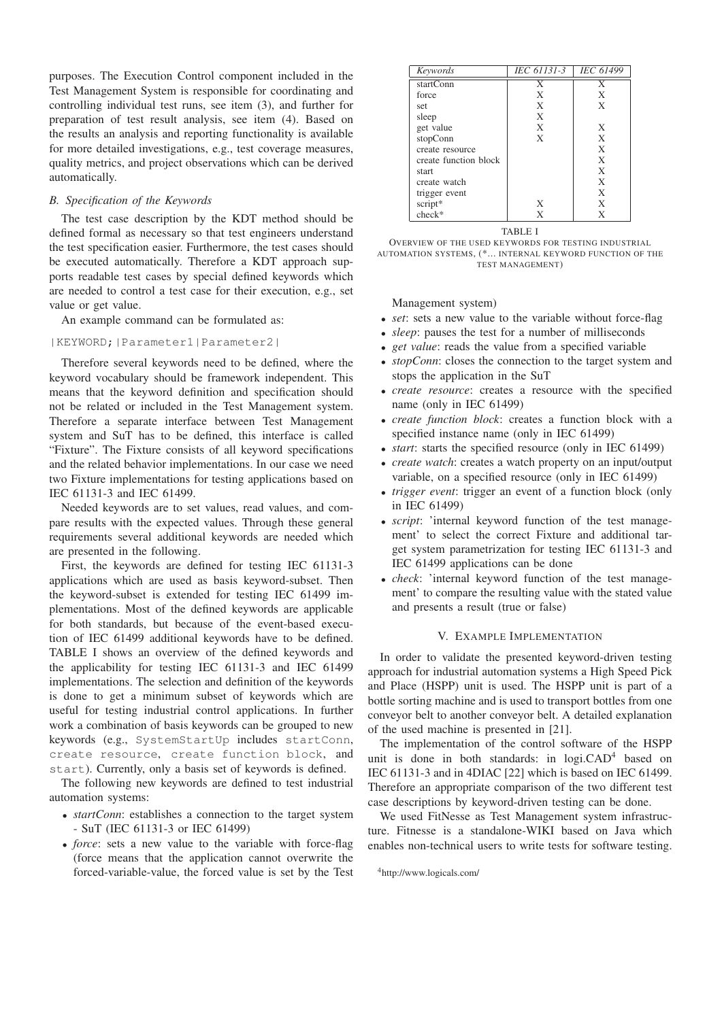purposes. The Execution Control component included in the Test Management System is responsible for coordinating and controlling individual test runs, see item (3), and further for preparation of test result analysis, see item (4). Based on the results an analysis and reporting functionality is available for more detailed investigations, e.g., test coverage measures, quality metrics, and project observations which can be derived automatically.

## *B. Specification of the Keywords*

The test case description by the KDT method should be defined formal as necessary so that test engineers understand the test specification easier. Furthermore, the test cases should be executed automatically. Therefore a KDT approach supports readable test cases by special defined keywords which are needed to control a test case for their execution, e.g., set value or get value.

An example command can be formulated as:

# |KEYWORD;|Parameter1|Parameter2|

Therefore several keywords need to be defined, where the keyword vocabulary should be framework independent. This means that the keyword definition and specification should not be related or included in the Test Management system. Therefore a separate interface between Test Management system and SuT has to be defined, this interface is called "Fixture". The Fixture consists of all keyword specifications and the related behavior implementations. In our case we need two Fixture implementations for testing applications based on IEC 61131-3 and IEC 61499.

Needed keywords are to set values, read values, and compare results with the expected values. Through these general requirements several additional keywords are needed which are presented in the following.

First, the keywords are defined for testing IEC 61131-3 applications which are used as basis keyword-subset. Then the keyword-subset is extended for testing IEC 61499 implementations. Most of the defined keywords are applicable for both standards, but because of the event-based execution of IEC 61499 additional keywords have to be defined. TABLE I shows an overview of the defined keywords and the applicability for testing IEC 61131-3 and IEC 61499 implementations. The selection and definition of the keywords is done to get a minimum subset of keywords which are useful for testing industrial control applications. In further work a combination of basis keywords can be grouped to new keywords (e.g., SystemStartUp includes startConn, create resource, create function block, and start). Currently, only a basis set of keywords is defined.

The following new keywords are defined to test industrial automation systems:

- *startConn*: establishes a connection to the target system - SuT (IEC 61131-3 or IEC 61499)
- *force*: sets a new value to the variable with force-flag (force means that the application cannot overwrite the forced-variable-value, the forced value is set by the Test

| Keywords              | IEC 61131-3 | <b>IEC 61499</b> |
|-----------------------|-------------|------------------|
| startConn             | X           | X                |
| force                 | X           | X                |
| set                   | X           | X                |
| sleep                 | X           |                  |
| get value             | X           | X                |
| stopConn              | X           | X                |
| create resource       |             | X                |
| create function block |             | X                |
| start                 |             | X                |
| create watch          |             | X                |
| trigger event         |             | X                |
| script*               | X           | X                |
| $check*$              | X           | X                |



Management system)

- *set*: sets a new value to the variable without force-flag
- *sleep*: pauses the test for a number of milliseconds
- *get value*: reads the value from a specified variable
- *stopConn*: closes the connection to the target system and stops the application in the SuT
- *create resource*: creates a resource with the specified name (only in IEC 61499)
- *create function block*: creates a function block with a specified instance name (only in IEC 61499)
- *start*: starts the specified resource (only in IEC 61499)
- *create watch*: creates a watch property on an input/output variable, on a specified resource (only in IEC 61499)
- *trigger event*: trigger an event of a function block (only in IEC 61499)
- *script*: 'internal keyword function of the test management' to select the correct Fixture and additional target system parametrization for testing IEC 61131-3 and IEC 61499 applications can be done
- *check*: 'internal keyword function of the test management' to compare the resulting value with the stated value and presents a result (true or false)

## V. EXAMPLE IMPLEMENTATION

In order to validate the presented keyword-driven testing approach for industrial automation systems a High Speed Pick and Place (HSPP) unit is used. The HSPP unit is part of a bottle sorting machine and is used to transport bottles from one conveyor belt to another conveyor belt. A detailed explanation of the used machine is presented in [21].

The implementation of the control software of the HSPP unit is done in both standards: in  $logi$ . $CAD<sup>4</sup>$  based on IEC 61131-3 and in 4DIAC [22] which is based on IEC 61499. Therefore an appropriate comparison of the two different test case descriptions by keyword-driven testing can be done.

We used FitNesse as Test Management system infrastructure. Fitnesse is a standalone-WIKI based on Java which enables non-technical users to write tests for software testing.

<sup>4</sup>http://www.logicals.com/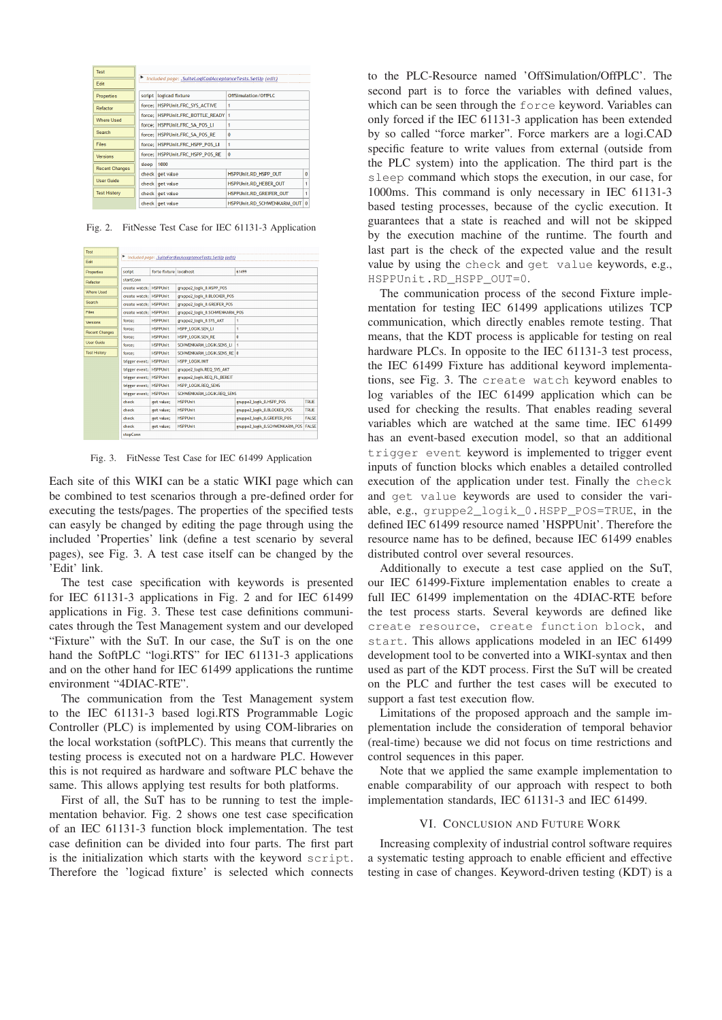| Test                                        |           |                                                          |                                |          |  |
|---------------------------------------------|-----------|----------------------------------------------------------|--------------------------------|----------|--|
| Edit                                        |           | Included page: .SuiteLogiCadAcceptanceTests.SetUp (edit) |                                |          |  |
| <b>Properties</b>                           | script    | logicad fixture                                          | OffSimulation/OffPLC           |          |  |
| Refactor                                    | force: I  | HSPPUnit.FRC SYS ACTIVE                                  | $\overline{1}$                 |          |  |
|                                             | force:    | HSPPUnit.FRC_BOTTLE_READY 1                              |                                |          |  |
| <b>Where Used</b>                           | force:    | HSPPUnit.FRC SA POS LI                                   | 1                              |          |  |
| Search                                      | force:    | <b>HSPPUnit,FRC SA POS RE</b>                            | $\bf{0}$                       |          |  |
| Files                                       | force:    | 1<br>HSPPUnit.FRC HSPP POS LI                            |                                |          |  |
| Versions                                    | force:    | $\bf{0}$<br>HSPPUnit.FRC HSPP POS RE                     |                                |          |  |
|                                             | sleep     | 1000                                                     |                                |          |  |
| <b>Recent Changes</b><br>check <sup> </sup> | get value | HSPPUnit.RD HSPP OUT                                     | n                              |          |  |
| <b>User Guide</b>                           | check     | get value                                                | HSPPUnit.RD HEBER OUT          |          |  |
| <b>Test History</b>                         | check     | get value                                                | <b>HSPPUnit.RD GREIFER OUT</b> |          |  |
|                                             | check     | get value                                                | HSPPUnit.RD SCHWENKARM OUT     | $\Omega$ |  |

Fig. 2. FitNesse Test Case for IEC 61131-3 Application

| Edit                             |                                                                 |                           | Included page: .SuiteFordiacAcceptanceTests.SetUp (edit) |                                |              |  |
|----------------------------------|-----------------------------------------------------------------|---------------------------|----------------------------------------------------------|--------------------------------|--------------|--|
| Properties                       | script                                                          | forte fixture localhost   |                                                          | 61499                          |              |  |
| Refactor                         | startConn                                                       |                           |                                                          |                                |              |  |
| <b>Where Used</b>                | create watch: HSPPUnit                                          |                           | gruppe2 logik 0.HSPP POS                                 |                                |              |  |
|                                  | create watch: HSPPUnit                                          |                           | eruppe2 logik 0.BLOCKER POS                              |                                |              |  |
| Search                           | create watch: HSPPUnit                                          |                           | gruppe2 logik 0.GREIFER POS                              |                                |              |  |
| Files                            | create watch: HSPPUnit                                          |                           | gruppe2 logik 0.SCHWENKARM POS                           |                                |              |  |
| Versions                         | force:                                                          | <b>HSPPUnit</b>           | gruppe2 logik 0.SYS AKT                                  | 1                              |              |  |
| <b>Recent Changes</b>            | force:                                                          | <b>HSPPUnit</b>           | HSPP LOGIK.SEN LI                                        | 1                              |              |  |
|                                  | force:                                                          | <b>HSPPLInit</b>          | HSPP LOGIK.SEN RE                                        | o                              |              |  |
| <b>Heer Guide</b>                | force:                                                          | <b>HSPPLInit</b>          | SCHWENKARM LOGIK.SENS LI                                 | 1                              |              |  |
| <b>Test History</b>              | force:                                                          | <b>HSPPLInit</b>          | SCHWENKARM LOGIK.SENS RE 0                               |                                |              |  |
|                                  | trigger event: HSPPUnit                                         |                           | <b>HSPP LOGIK, INIT</b>                                  |                                |              |  |
|                                  | trigger event: HSPPUnit                                         | gruppe2_logik.REQ_SYS_AKT |                                                          |                                |              |  |
|                                  | trigger event: HSPPUnit                                         |                           | gruppe2_logik.REQ_FL_BEREIT                              |                                |              |  |
|                                  | trigger event; HSPPUnit                                         |                           | HSPP LOGIK, REO SENS                                     |                                |              |  |
|                                  | SCHWENKARM LOGIK.REO SENS<br>trigger event:<br><b>HSPPLInit</b> |                           |                                                          |                                |              |  |
| check<br>check<br>check<br>check |                                                                 | get value:                | <b>HSPPUnit</b>                                          | eruppe2 logik 0.HSPP POS       | <b>TRUE</b>  |  |
|                                  |                                                                 | get value:                | <b>HSPPUnit</b>                                          | gruppe2 logik 0.BLOCKER POS    | <b>TRUE</b>  |  |
|                                  |                                                                 | get value:                | <b>HSPPUnit</b>                                          | gruppe2 logik 0.GREIFER POS    | <b>FALSE</b> |  |
|                                  |                                                                 | get value;                | <b>HSPPUnit</b>                                          | gruppe2 logik 0.SCHWENKARM POS | <b>FALSE</b> |  |
|                                  | stanfann                                                        |                           |                                                          |                                |              |  |

Fig. 3. FitNesse Test Case for IEC 61499 Application

Each site of this WIKI can be a static WIKI page which can be combined to test scenarios through a pre-defined order for executing the tests/pages. The properties of the specified tests can easyly be changed by editing the page through using the included 'Properties' link (define a test scenario by several pages), see Fig. 3. A test case itself can be changed by the 'Edit' link.

The test case specification with keywords is presented for IEC 61131-3 applications in Fig. 2 and for IEC 61499 applications in Fig. 3. These test case definitions communicates through the Test Management system and our developed "Fixture" with the SuT. In our case, the SuT is on the one hand the SoftPLC "logi.RTS" for IEC 61131-3 applications and on the other hand for IEC 61499 applications the runtime environment "4DIAC-RTE".

The communication from the Test Management system to the IEC 61131-3 based logi.RTS Programmable Logic Controller (PLC) is implemented by using COM-libraries on the local workstation (softPLC). This means that currently the testing process is executed not on a hardware PLC. However this is not required as hardware and software PLC behave the same. This allows applying test results for both platforms.

First of all, the SuT has to be running to test the implementation behavior. Fig. 2 shows one test case specification of an IEC 61131-3 function block implementation. The test case definition can be divided into four parts. The first part is the initialization which starts with the keyword script. Therefore the 'logicad fixture' is selected which connects

to the PLC-Resource named 'OffSimulation/OffPLC'. The second part is to force the variables with defined values, which can be seen through the force keyword. Variables can only forced if the IEC 61131-3 application has been extended by so called "force marker". Force markers are a logi.CAD specific feature to write values from external (outside from the PLC system) into the application. The third part is the sleep command which stops the execution, in our case, for 1000ms. This command is only necessary in IEC 61131-3 based testing processes, because of the cyclic execution. It guarantees that a state is reached and will not be skipped by the execution machine of the runtime. The fourth and last part is the check of the expected value and the result value by using the check and get value keywords, e.g., HSPPUnit.RD\_HSPP\_OUT=0.

The communication process of the second Fixture implementation for testing IEC 61499 applications utilizes TCP communication, which directly enables remote testing. That means, that the KDT process is applicable for testing on real hardware PLCs. In opposite to the IEC 61131-3 test process, the IEC 61499 Fixture has additional keyword implementations, see Fig. 3. The create watch keyword enables to log variables of the IEC 61499 application which can be used for checking the results. That enables reading several variables which are watched at the same time. IEC 61499 has an event-based execution model, so that an additional trigger event keyword is implemented to trigger event inputs of function blocks which enables a detailed controlled execution of the application under test. Finally the check and get value keywords are used to consider the variable, e.g., gruppe2\_logik\_0.HSPP\_POS=TRUE, in the defined IEC 61499 resource named 'HSPPUnit'. Therefore the resource name has to be defined, because IEC 61499 enables distributed control over several resources.

Additionally to execute a test case applied on the SuT, our IEC 61499-Fixture implementation enables to create a full IEC 61499 implementation on the 4DIAC-RTE before the test process starts. Several keywords are defined like create resource, create function block, and start. This allows applications modeled in an IEC 61499 development tool to be converted into a WIKI-syntax and then used as part of the KDT process. First the SuT will be created on the PLC and further the test cases will be executed to support a fast test execution flow.

Limitations of the proposed approach and the sample implementation include the consideration of temporal behavior (real-time) because we did not focus on time restrictions and control sequences in this paper.

Note that we applied the same example implementation to enable comparability of our approach with respect to both implementation standards, IEC 61131-3 and IEC 61499.

#### VI. CONCLUSION AND FUTURE WORK

Increasing complexity of industrial control software requires a systematic testing approach to enable efficient and effective testing in case of changes. Keyword-driven testing (KDT) is a